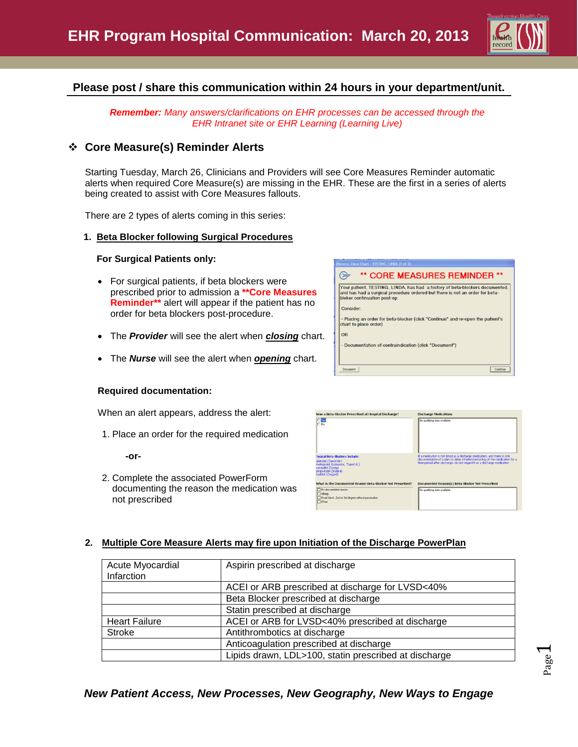

Page  $\overline{\phantom{0}}$ 

# **Please post / share this communication within 24 hours in your department/unit.**

*Remember: Many answers/clarifications on EHR processes can be accessed through the EHR Intranet site or EHR Learning (Learning Live)*

## **Core Measure(s) Reminder Alerts**

Starting Tuesday, March 26, Clinicians and Providers will see Core Measures Reminder automatic alerts when required Core Measure(s) are missing in the EHR. These are the first in a series of alerts being created to assist with Core Measures fallouts.

There are 2 types of alerts coming in this series:

#### **1. Beta Blocker following Surgical Procedures**

#### **For Surgical Patients only:**

- For surgical patients, if beta blockers were prescribed prior to admission a **\*\*Core Measures Reminder\*\*** alert will appear if the patient has no order for beta blockers post-procedure.
- The *Provider* will see the alert when *closing* chart.
- The *Nurse* will see the alert when *opening* chart.

#### **Required documentation:**

When an alert appears, address the alert:

1. Place an order for the required medication

**-or-**

2. Complete the associated PowerForm documenting the reason the medication was not prescribed





### **2. Multiple Core Measure Alerts may fire upon Initiation of the Discharge PowerPlan**

| Acute Myocardial<br>Infarction                                           | Aspirin prescribed at discharge                       |
|--------------------------------------------------------------------------|-------------------------------------------------------|
|                                                                          | ACEI or ARB prescribed at discharge for LVSD<40%      |
|                                                                          | Beta Blocker prescribed at discharge                  |
|                                                                          | Statin prescribed at discharge                        |
| ACEI or ARB for LVSD<40% prescribed at discharge<br><b>Heart Failure</b> |                                                       |
| <b>Stroke</b>                                                            | Antithrombotics at discharge                          |
|                                                                          | Anticoagulation prescribed at discharge               |
|                                                                          | Lipids drawn, LDL>100, statin prescribed at discharge |

## *New Patient Access, New Processes, New Geography, New Ways to Engage*